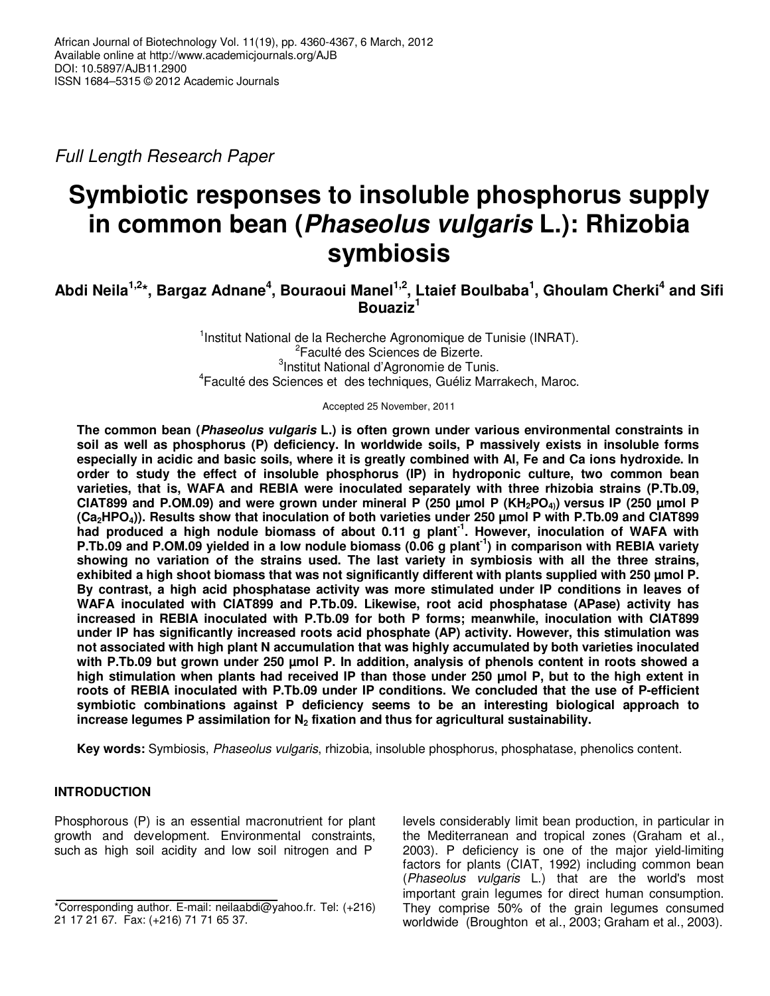Full Length Research Paper

# **Symbiotic responses to insoluble phosphorus supply in common bean (Phaseolus vulgaris L.): Rhizobia symbiosis**

**Abdi Neila1,2\*, Bargaz Adnane<sup>4</sup> , Bouraoui Manel1,2, Ltaief Boulbaba<sup>1</sup> , Ghoulam Cherki<sup>4</sup> and Sifi Bouaziz<sup>1</sup>**

> <sup>1</sup>Institut National de la Recherche Agronomique de Tunisie (INRAT). <sup>2</sup>Faculté des Sciences de Bizerte. <sup>3</sup>Institut National d'Agronomie de Tunis. 4 Faculté des Sciences et des techniques, Guéliz Marrakech, Maroc.

> > Accepted 25 November, 2011

**The common bean (Phaseolus vulgaris L.) is often grown under various environmental constraints in soil as well as phosphorus (P) deficiency. In worldwide soils, P massively exists in insoluble forms especially in acidic and basic soils, where it is greatly combined with Al, Fe and Ca ions hydroxide. In order to study the effect of insoluble phosphorus (IP) in hydroponic culture, two common bean varieties, that is, WAFA and REBIA were inoculated separately with three rhizobia strains (P.Tb.09, CIAT899 and P.OM.09) and were grown under mineral P (250 µmol P (KH2PO4)) versus IP (250 µmol P (Ca2HPO4)). Results show that inoculation of both varieties under 250 µmol P with P.Tb.09 and CIAT899 had produced a high nodule biomass of about 0.11 g plant-1. However, inoculation of WAFA with P.Tb.09 and P.OM.09 yielded in a low nodule biomass (0.06 g plant-1) in comparison with REBIA variety showing no variation of the strains used. The last variety in symbiosis with all the three strains, exhibited a high shoot biomass that was not significantly different with plants supplied with 250 µmol P. By contrast, a high acid phosphatase activity was more stimulated under IP conditions in leaves of WAFA inoculated with CIAT899 and P.Tb.09. Likewise, root acid phosphatase (APase) activity has increased in REBIA inoculated with P.Tb.09 for both P forms; meanwhile, inoculation with CIAT899 under IP has significantly increased roots acid phosphate (AP) activity. However, this stimulation was not associated with high plant N accumulation that was highly accumulated by both varieties inoculated with P.Tb.09 but grown under 250 µmol P. In addition, analysis of phenols content in roots showed a high stimulation when plants had received IP than those under 250 µmol P, but to the high extent in roots of REBIA inoculated with P.Tb.09 under IP conditions. We concluded that the use of P-efficient symbiotic combinations against P deficiency seems to be an interesting biological approach to increase legumes P assimilation for N2 fixation and thus for agricultural sustainability.** 

**Key words:** Symbiosis, Phaseolus vulgaris, rhizobia, insoluble phosphorus, phosphatase, phenolics content.

## **INTRODUCTION**

Phosphorous (P) is an essential macronutrient for plant growth and development. Environmental constraints, such as high soil acidity and low soil nitrogen and P

levels considerably limit bean production, in particular in the Mediterranean and tropical zones (Graham et al., 2003). P deficiency is one of the major yield-limiting factors for plants (CIAT, 1992) including common bean (Phaseolus vulgaris L.) that are the world's most important grain legumes for direct human consumption. They comprise 50% of the grain legumes consumed worldwide (Broughton et al., 2003; Graham et al., 2003).

<sup>\*</sup>Corresponding author. E-mail: neilaabdi@yahoo.fr. Tel: (+216) 21 17 21 67. Fax: (+216) 71 71 65 37.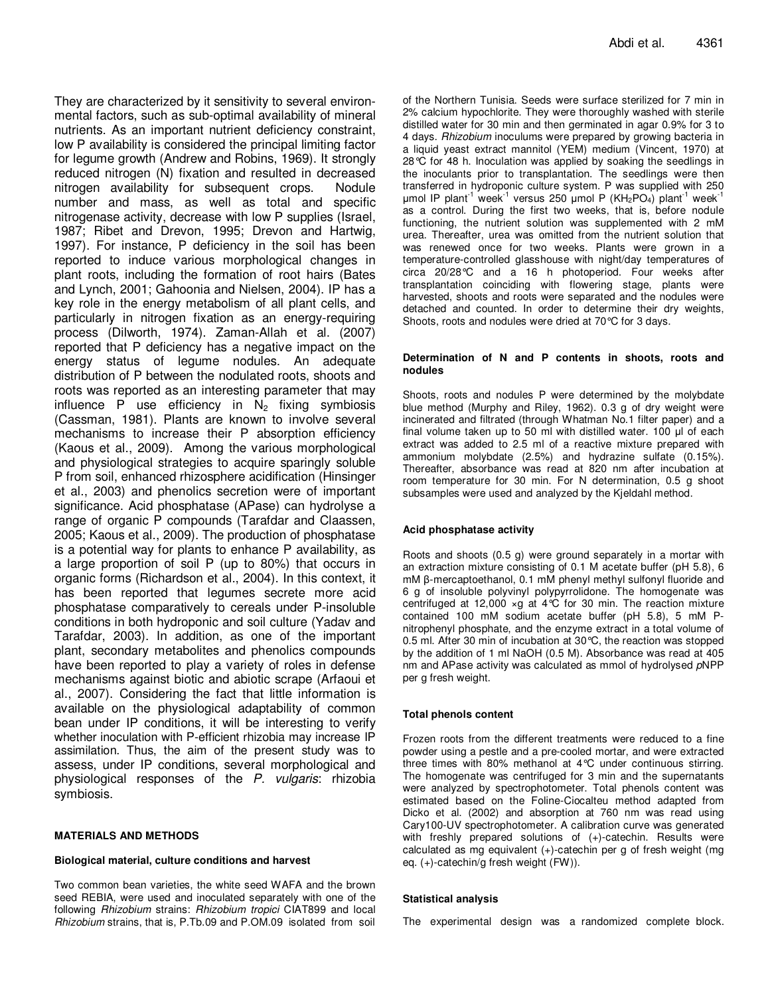They are characterized by it sensitivity to several environmental factors, such as sub-optimal availability of mineral nutrients. As an important nutrient deficiency constraint, low P availability is considered the principal limiting factor for legume growth (Andrew and Robins, 1969). It strongly reduced nitrogen (N) fixation and resulted in decreased nitrogen availability for subsequent crops. Nodule number and mass, as well as total and specific nitrogenase activity, decrease with low P supplies (Israel, 1987; Ribet and Drevon, 1995; Drevon and Hartwig, 1997). For instance, P deficiency in the soil has been reported to induce various morphological changes in plant roots, including the formation of root hairs (Bates and Lynch, 2001; Gahoonia and Nielsen, 2004). IP has a key role in the energy metabolism of all plant cells, and particularly in nitrogen fixation as an energy-requiring process (Dilworth, 1974). Zaman-Allah et al. (2007) reported that P deficiency has a negative impact on the energy status of legume nodules. An adequate distribution of P between the nodulated roots, shoots and roots was reported as an interesting parameter that may influence P use efficiency in  $N_2$  fixing symbiosis (Cassman, 1981). Plants are known to involve several mechanisms to increase their P absorption efficiency (Kaous et al., 2009). Among the various morphological and physiological strategies to acquire sparingly soluble P from soil, enhanced rhizosphere acidification (Hinsinger et al., 2003) and phenolics secretion were of important significance. Acid phosphatase (APase) can hydrolyse a range of organic P compounds (Tarafdar and Claassen, 2005; Kaous et al., 2009). The production of phosphatase is a potential way for plants to enhance P availability, as a large proportion of soil P (up to 80%) that occurs in organic forms (Richardson et al., 2004). In this context, it has been reported that legumes secrete more acid phosphatase comparatively to cereals under P-insoluble conditions in both hydroponic and soil culture (Yadav and Tarafdar, 2003). In addition, as one of the important plant, secondary metabolites and phenolics compounds have been reported to play a variety of roles in defense mechanisms against biotic and abiotic scrape (Arfaoui et al., 2007). Considering the fact that little information is available on the physiological adaptability of common bean under IP conditions, it will be interesting to verify whether inoculation with P-efficient rhizobia may increase IP assimilation. Thus, the aim of the present study was to assess, under IP conditions, several morphological and physiological responses of the P. vulgaris: rhizobia symbiosis.

#### **MATERIALS AND METHODS**

#### **Biological material, culture conditions and harvest**

Two common bean varieties, the white seed WAFA and the brown seed REBIA, were used and inoculated separately with one of the following Rhizobium strains: Rhizobium tropici CIAT899 and local Rhizobium strains, that is, P.Tb.09 and P.OM.09 isolated from soil

of the Northern Tunisia. Seeds were surface sterilized for 7 min in 2% calcium hypochlorite. They were thoroughly washed with sterile distilled water for 30 min and then germinated in agar 0.9% for 3 to 4 days. Rhizobium inoculums were prepared by growing bacteria in a liquid yeast extract mannitol (YEM) medium (Vincent, 1970) at 28°C for 48 h. Inoculation was applied by soaking the seedlings in the inoculants prior to transplantation. The seedlings were then transferred in hydroponic culture system. P was supplied with 250 µmol IP plant<sup>-1</sup> week<sup>-1</sup> versus 250 µmol P (KH<sub>2</sub>PO<sub>4</sub>) plant<sup>-1</sup> week<sup>-1</sup> as a control. During the first two weeks, that is, before nodule functioning, the nutrient solution was supplemented with 2 mM urea. Thereafter, urea was omitted from the nutrient solution that was renewed once for two weeks. Plants were grown in a temperature-controlled glasshouse with night/day temperatures of circa 20/28°C and a 16 h photoperiod. Four weeks after transplantation coinciding with flowering stage, plants were harvested, shoots and roots were separated and the nodules were detached and counted. In order to determine their dry weights, Shoots, roots and nodules were dried at 70°C for 3 days.

#### **Determination of N and P contents in shoots, roots and nodules**

Shoots, roots and nodules P were determined by the molybdate blue method (Murphy and Riley, 1962). 0.3 g of dry weight were incinerated and filtrated (through Whatman No.1 filter paper) and a final volume taken up to 50 ml with distilled water. 100 µl of each extract was added to 2.5 ml of a reactive mixture prepared with ammonium molybdate (2.5%) and hydrazine sulfate (0.15%). Thereafter, absorbance was read at 820 nm after incubation at room temperature for 30 min. For N determination, 0.5 g shoot subsamples were used and analyzed by the Kjeldahl method.

#### **Acid phosphatase activity**

Roots and shoots (0.5 g) were ground separately in a mortar with an extraction mixture consisting of 0.1 M acetate buffer (pH 5.8), 6 mM β-mercaptoethanol, 0.1 mM phenyl methyl sulfonyl fluoride and 6 g of insoluble polyvinyl polypyrrolidone. The homogenate was centrifuged at 12,000  $\times$ g at 4°C for 30 min. The reaction mixture contained 100 mM sodium acetate buffer (pH 5.8), 5 mM Pnitrophenyl phosphate, and the enzyme extract in a total volume of 0.5 ml. After 30 min of incubation at 30°C, the reaction was stopped by the addition of 1 ml NaOH (0.5 M). Absorbance was read at 405 nm and APase activity was calculated as mmol of hydrolysed pNPP per g fresh weight.

#### **Total phenols content**

Frozen roots from the different treatments were reduced to a fine powder using a pestle and a pre-cooled mortar, and were extracted three times with 80% methanol at 4°C under continuous stirring. The homogenate was centrifuged for 3 min and the supernatants were analyzed by spectrophotometer. Total phenols content was estimated based on the Foline-Ciocalteu method adapted from Dicko et al. (2002) and absorption at 760 nm was read using Cary100-UV spectrophotometer. A calibration curve was generated with freshly prepared solutions of (+)-catechin. Results were calculated as mg equivalent  $(+)$ -catechin per g of fresh weight (mg eq. (+)-catechin/g fresh weight (FW)).

#### **Statistical analysis**

The experimental design was a randomized complete block.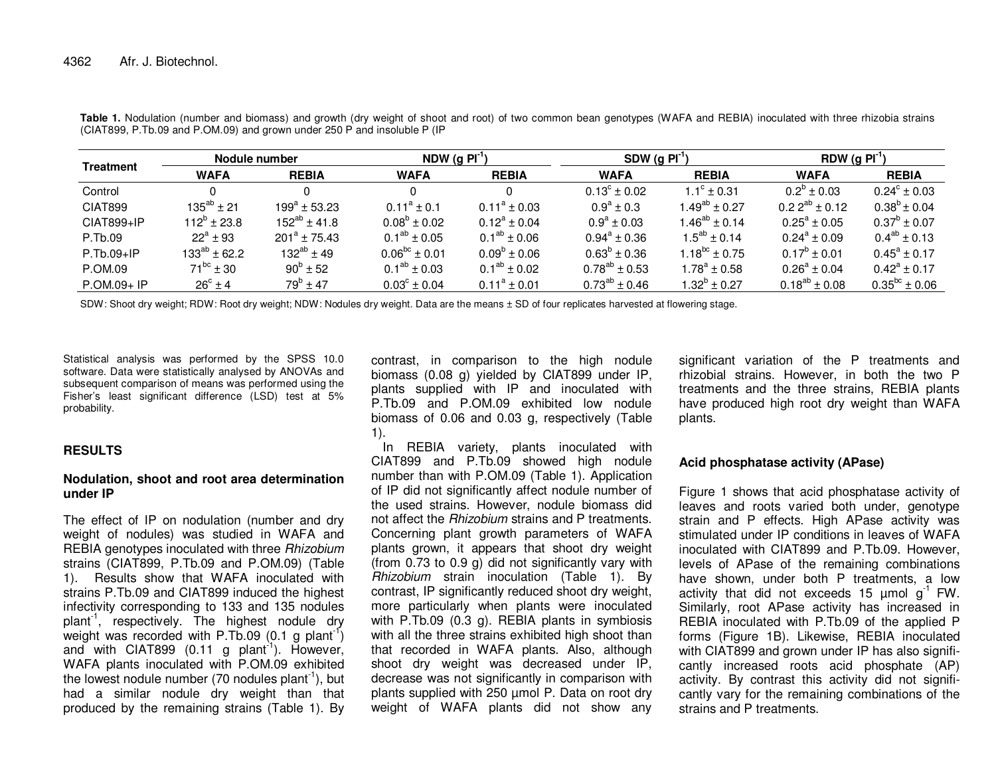| Treatment    | Nodule number        |                   | NDW (g $PI-1$ )         |                         | SDW $(g Pl-1)$          |                      | RDW (g $PI^{\prime}$       |                         |
|--------------|----------------------|-------------------|-------------------------|-------------------------|-------------------------|----------------------|----------------------------|-------------------------|
|              | <b>WAFA</b>          | <b>REBIA</b>      | <b>WAFA</b>             | <b>REBIA</b>            | <b>WAFA</b>             | <b>REBIA</b>         | <b>WAFA</b>                | <b>REBIA</b>            |
| Control      |                      |                   |                         |                         | $0.13^{\circ} \pm 0.02$ | $1.1^{\circ}$ ± 0.31 | $0.2^{\circ}$ ± 0.03       | $0.24^{\circ} \pm 0.03$ |
| CIAT899      | $135^{ab} \pm 21$    | $199^a \pm 53.23$ | $0.11^a \pm 0.1$        | $0.11^a \pm 0.03$       | $0.9^{\rm a} \pm 0.3$   | $1.49^{ab} \pm 0.27$ | $0.22^{ab} \pm 0.12$       | $0.38^b \pm 0.04$       |
| CIAT899+IP   | $112^{\circ}$ ± 23.8 | $152^{ab}$ ± 41.8 | $0.08^{\circ}$ ± 0.02   | $0.12^a \pm 0.04$       | $0.9^a \pm 0.03$        | $1.46^{ab} \pm 0.14$ | $0.25^{\text{a}} \pm 0.05$ | $0.37^b \pm 0.07$       |
| P.Tb.09      | $22^a \pm 93$        | $201^a \pm 75.43$ | $0.1^{ab} \pm 0.05$     | $0.1^{ab} \pm 0.06$     | $0.94^a \pm 0.36$       | $1.5^{ab} \pm 0.14$  | $0.24^a \pm 0.09$          | $0.4^{ab} \pm 0.13$     |
| $P.Tb.09+IP$ | $133^{ab}$ ± 62.2    | $132^{ab}$ ± 49   | $0.06^{bc} \pm 0.01$    | $0.09^{\rm b} \pm 0.06$ | $0.63^b \pm 0.36$       | $1.18^{bc} \pm 0.75$ | $0.17^b \pm 0.01$          | $0.45^a \pm 0.17$       |
| P.OM.09      | $71^{bc}$ ± 30       | $90^{\rm b}$ ± 52 | $0.1^{ab} \pm 0.03$     | $0.1^{ab} \pm 0.02$     | $0.78^{ab} \pm 0.53$    | $1.78^a \pm 0.58$    | $0.26^a \pm 0.04$          | $0.42^a \pm 0.17$       |
| P.OM.09+ IP  | $26^{\circ} \pm 4$   | $79^{\rm b}$ ± 47 | $0.03^{\circ} \pm 0.04$ | $0.11^a \pm 0.01$       | $0.73^{ab} \pm 0.46$    | $1.32^b \pm 0.27$    | $0.18^{ab} \pm 0.08$       | $0.35^{bc} \pm 0.06$    |

**Table 1.** Nodulation (number and biomass) and growth (dry weight of shoot and root) of two common bean genotypes (WAFA and REBIA) inoculated with three rhizobia strains (CIAT899, P.Tb.09 and P.OM.09) and grown under 250 P and insoluble P (IP

SDW: Shoot dry weight; RDW: Root dry weight; NDW: Nodules dry weight. Data are the means  $\pm$  SD of four replicates harvested at flowering stage.

Statistical analysis was performed by the SPSS 10.0 software. Data were statistically analysed by ANOVAs and subsequent comparison of means was performed using the Fisher's least significant difference (LSD) test at 5% probability.

## **RESULTS**

## **Nodulation, shoot and root area determination under IP**

The effect of IP on nodulation (number and dry weight of nodules) was studied in WAFA and REBIA genotypes inoculated with three Rhizobium strains (CIAT899, P.Tb.09 and P.OM.09) (Table 1). Results show that WAFA inoculated with strains P.Tb.09 and CIAT899 induced the highest infectivity corresponding to 133 and 135 nodules plant<sup>-1</sup>, respectively. The highest nodule dry weight was recorded with P.Tb.09 (0.1 g plant<sup>-1</sup>) and with CIAT899 (0.11 g plant<sup>-1</sup>). However, WAFA plants inoculated with P.OM.09 exhibited the lowest nodule number (70 nodules plant $^{-1}$ ), but had a similar nodule dry weight than that produced by the remaining strains (Table 1). By contrast, in comparison to the high nodule biomass (0.08 g) yielded by CIAT899 under IP, plants supplied with IP and inoculated with P.Tb.09 and P.OM.09 exhibited low nodule biomass of 0.06 and 0.03 g, respectively (Table 1).

 In REBIA variety, plants inoculated with CIAT899 and P.Tb.09 showed high nodule number than with P.OM.09 (Table 1). Application of IP did not significantly affect nodule number of the used strains. However, nodule biomass did not affect the *Rhizobium* strains and P treatments. Concerning plant growth parameters of WAFA plants grown, it appears that shoot dry weight (from 0.73 to 0.9 g) did not significantly vary with Rhizobium strain inoculation (Table 1). By contrast, IP significantly reduced shoot dry weight, more particularly when plants were inoculated with P.Tb.09 (0.3 g). REBIA plants in symbiosis with all the three strains exhibited high shoot than that recorded in WAFA plants. Also, although shoot dry weight was decreased under IP, decrease was not significantly in comparison with plants supplied with 250 µmol P. Data on root dry weight of WAFA plants did not show any significant variation of the P treatments and rhizobial strains. However, in both the two P treatments and the three strains, REBIA plants have produced high root dry weight than WAFA plants.

## **Acid phosphatase activity (APase)**

Figure 1 shows that acid phosphatase activity of leaves and roots varied both under, genotype strain and P effects. High APase activity was stimulated under IP conditions in leaves of WAFA inoculated with CIAT899 and P.Tb.09. However, levels of APase of the remaining combinations have shown, under both P treatments, a low activity that did not exceeds 15  $\mu$ mol g<sup>-1</sup> FW. Similarly, root APase activity has increased in REBIA inoculated with P.Tb.09 of the applied P forms (Figure 1B). Likewise, REBIA inoculated with CIAT899 and grown under IP has also significantly increased roots acid phosphate (AP) activity. By contrast this activity did not significantly vary for the remaining combinations of the strains and P treatments.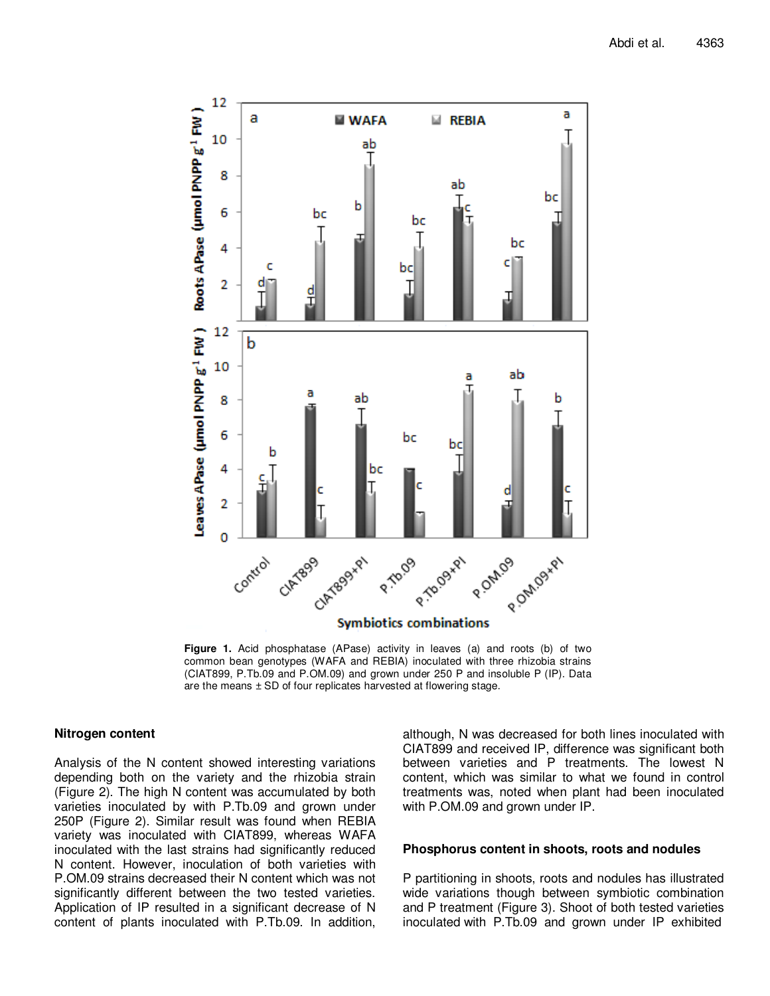

**Figure 1.** Acid phosphatase (APase) activity in leaves (a) and roots (b) of two common bean genotypes (WAFA and REBIA) inoculated with three rhizobia strains (CIAT899, P.Tb.09 and P.OM.09) and grown under 250 P and insoluble P (IP). Data are the means  $\pm$  SD of four replicates harvested at flowering stage.

## **Nitrogen content**

Analysis of the N content showed interesting variations depending both on the variety and the rhizobia strain (Figure 2). The high N content was accumulated by both varieties inoculated by with P.Tb.09 and grown under 250P (Figure 2). Similar result was found when REBIA variety was inoculated with CIAT899, whereas WAFA inoculated with the last strains had significantly reduced N content. However, inoculation of both varieties with P.OM.09 strains decreased their N content which was not significantly different between the two tested varieties. Application of IP resulted in a significant decrease of N content of plants inoculated with P.Tb.09. In addition, although, N was decreased for both lines inoculated with CIAT899 and received IP, difference was significant both between varieties and P treatments. The lowest N content, which was similar to what we found in control treatments was, noted when plant had been inoculated with P.OM.09 and grown under IP.

#### **Phosphorus content in shoots, roots and nodules**

P partitioning in shoots, roots and nodules has illustrated wide variations though between symbiotic combination and P treatment (Figure 3). Shoot of both tested varieties inoculated with P.Tb.09 and grown under IP exhibited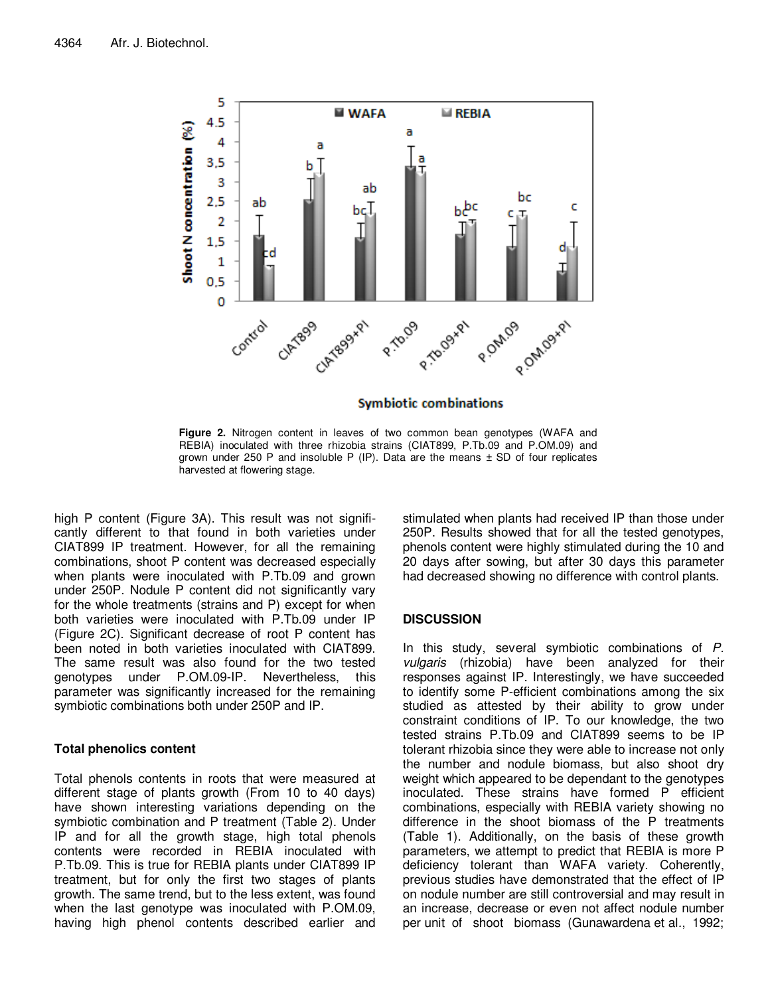

**Figure 2.** Nitrogen content in leaves of two common bean genotypes (WAFA and REBIA) inoculated with three rhizobia strains (CIAT899, P.Tb.09 and P.OM.09) and grown under 250 P and insoluble P (IP). Data are the means  $\pm$  SD of four replicates harvested at flowering stage.

high P content (Figure 3A). This result was not significantly different to that found in both varieties under CIAT899 IP treatment. However, for all the remaining combinations, shoot P content was decreased especially when plants were inoculated with P.Tb.09 and grown under 250P. Nodule P content did not significantly vary for the whole treatments (strains and P) except for when both varieties were inoculated with P.Tb.09 under IP (Figure 2C). Significant decrease of root P content has been noted in both varieties inoculated with CIAT899. The same result was also found for the two tested genotypes under P.OM.09-IP. Nevertheless, this parameter was significantly increased for the remaining symbiotic combinations both under 250P and IP.

## **Total phenolics content**

Total phenols contents in roots that were measured at different stage of plants growth (From 10 to 40 days) have shown interesting variations depending on the symbiotic combination and P treatment (Table 2). Under IP and for all the growth stage, high total phenols contents were recorded in REBIA inoculated with P.Tb.09. This is true for REBIA plants under CIAT899 IP treatment, but for only the first two stages of plants growth. The same trend, but to the less extent, was found when the last genotype was inoculated with P.OM.09, having high phenol contents described earlier and

stimulated when plants had received IP than those under 250P. Results showed that for all the tested genotypes, phenols content were highly stimulated during the 10 and 20 days after sowing, but after 30 days this parameter had decreased showing no difference with control plants.

## **DISCUSSION**

In this study, several symbiotic combinations of P. vulgaris (rhizobia) have been analyzed for their responses against IP. Interestingly, we have succeeded to identify some P-efficient combinations among the six studied as attested by their ability to grow under constraint conditions of IP. To our knowledge, the two tested strains P.Tb.09 and CIAT899 seems to be IP tolerant rhizobia since they were able to increase not only the number and nodule biomass, but also shoot dry weight which appeared to be dependant to the genotypes inoculated. These strains have formed P efficient combinations, especially with REBIA variety showing no difference in the shoot biomass of the P treatments (Table 1). Additionally, on the basis of these growth parameters, we attempt to predict that REBIA is more P deficiency tolerant than WAFA variety. Coherently, previous studies have demonstrated that the effect of IP on nodule number are still controversial and may result in an increase, decrease or even not affect nodule number per unit of shoot biomass (Gunawardena et al., 1992;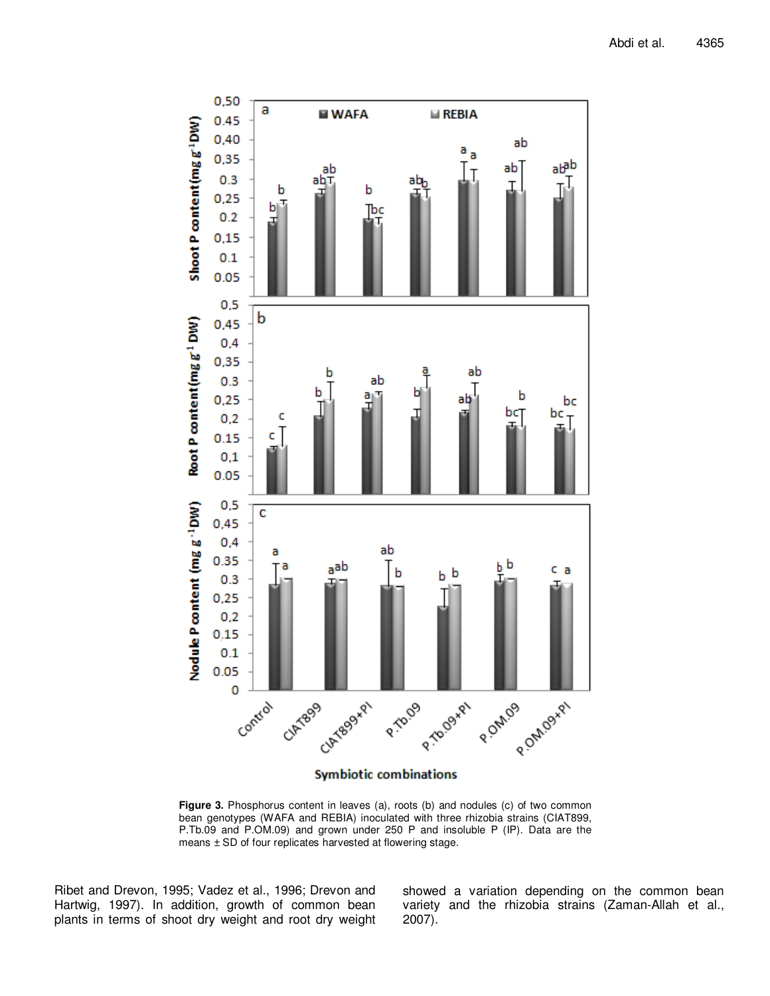

**Figure 3.** Phosphorus content in leaves (a), roots (b) and nodules (c) of two common bean genotypes (WAFA and REBIA) inoculated with three rhizobia strains (CIAT899, P.Tb.09 and P.OM.09) and grown under 250 P and insoluble P (IP). Data are the means ± SD of four replicates harvested at flowering stage.

Ribet and Drevon, 1995; Vadez et al., 1996; Drevon and Hartwig, 1997). In addition, growth of common bean plants in terms of shoot dry weight and root dry weight showed a variation depending on the common bean variety and the rhizobia strains (Zaman-Allah et al., 2007).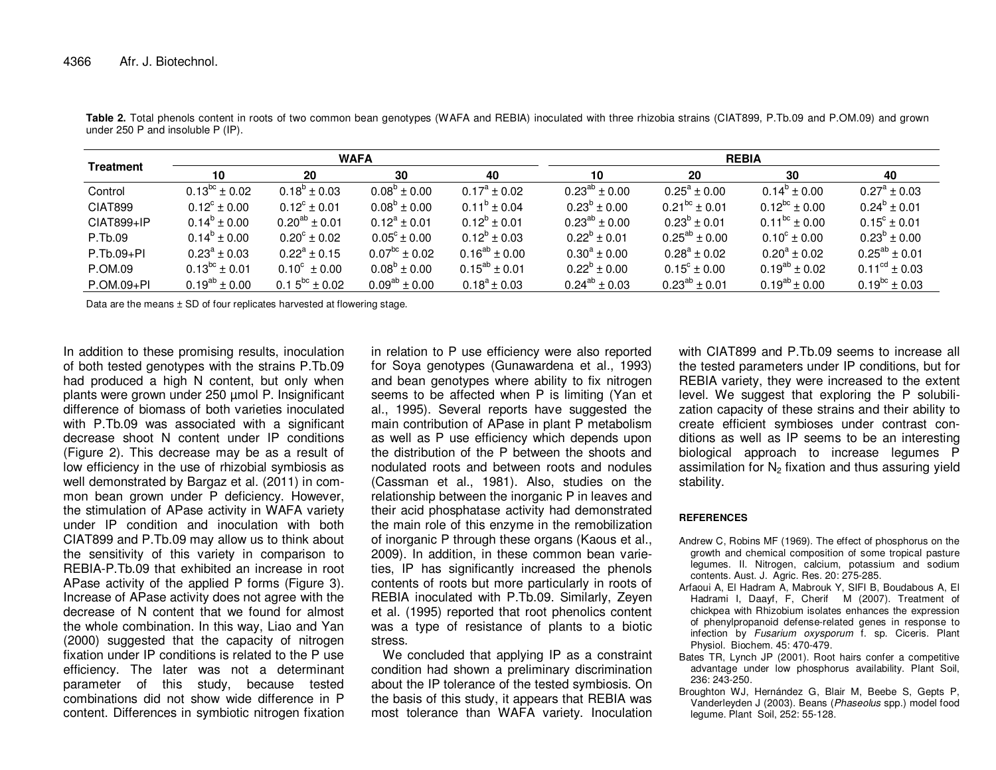| <b>Treatment</b> | <b>WAFA</b>             |                         |                       |                      | <b>REBIA</b>         |                         |                         |                             |
|------------------|-------------------------|-------------------------|-----------------------|----------------------|----------------------|-------------------------|-------------------------|-----------------------------|
|                  | 10                      | 20                      | 30                    | 40                   | 10                   | 20                      | 30                      | 40                          |
| Control          | $0.13^{bc} \pm 0.02$    | $0.18^{\circ} \pm 0.03$ | $0.08^{\circ}$ ± 0.00 | $0.17^a \pm 0.02$    | $0.23^{ab} \pm 0.00$ | $0.25^a \pm 0.00$       | $0.14^{\circ} \pm 0.00$ | $0.27^{\rm a} \pm 0.03$     |
| CIAT899          | $0.12^{\circ} \pm 0.00$ | $0.12^{\circ} \pm 0.01$ | $0.08^b \pm 0.00$     | $0.11^b \pm 0.04$    | $0.23^b \pm 0.00$    | $0.21^{bc} \pm 0.01$    | $0.12^{bc} \pm 0.00$    | $0.24^b \pm 0.01$           |
| CIAT899+IP       | $0.14^b \pm 0.00$       | $0.20^{ab} \pm 0.01$    | $0.12^a \pm 0.01$     | $0.12^b \pm 0.01$    | $0.23^{ab} \pm 0.00$ | $0.23^{\circ}$ ± 0.01   | $0.11^{bc} \pm 0.00$    | $0.15^{\circ} \pm 0.01$     |
| P.Tb.09          | $0.14^b \pm 0.00$       | $0.20^{\circ} \pm 0.02$ | $0.05^{\circ}$ ± 0.00 | $0.12^b \pm 0.03$    | $0.22^b \pm 0.01$    | $0.25^{ab} \pm 0.00$    | $0.10^{\circ} \pm 0.00$ | $0.23^b \pm 0.00$           |
| $P.Tb.09+PI$     | $0.23^{\circ} \pm 0.03$ | $0.22^a \pm 0.15$       | $0.07^{bc} \pm 0.02$  | $0.16^{ab} \pm 0.00$ | $0.30^a \pm 0.00$    | $0.28^a \pm 0.02$       | $0.20^a \pm 0.02$       | $0.25^{ab} \pm 0.01$        |
| P.OM.09          | $0.13^{bc} \pm 0.01$    | $0.10^{\circ} \pm 0.00$ | $0.08^b \pm 0.00$     | $0.15^{ab} \pm 0.01$ | $0.22^b \pm 0.00$    | $0.15^{\circ} \pm 0.00$ | $0.19^{ab} \pm 0.02$    | $0.11^{\text{cd}} \pm 0.03$ |
| P.OM.09+PI       | $0.19^{ab} \pm 0.00$    | $0.15^{bc} \pm 0.02$    | $0.09^{ab} \pm 0.00$  | $0.18^a \pm 0.03$    | $0.24^{ab} \pm 0.03$ | $0.23^{ab} \pm 0.01$    | $0.19^{ab}$ ± 0.00      | $0.19^{bc} \pm 0.03$        |

**Table 2.** Total phenols content in roots of two common bean genotypes (WAFA and REBIA) inoculated with three rhizobia strains (CIAT899, P.Tb.09 and P.OM.09) and grown under 250 P and insoluble P (IP).

Data are the means ± SD of four replicates harvested at flowering stage.

In addition to these promising results, inoculation of both tested genotypes with the strains P.Tb.09 had produced a high N content, but only when plants were grown under 250 µmol P. Insignificant difference of biomass of both varieties inoculated with P.Tb.09 was associated with a significant decrease shoot N content under IP conditions (Figure 2). This decrease may be as a result of low efficiency in the use of rhizobial symbiosis as well demonstrated by Bargaz et al. (2011) in common bean grown under P deficiency. However, the stimulation of APase activity in WAFA variety under IP condition and inoculation with both CIAT899 and P.Tb.09 may allow us to think about the sensitivity of this variety in comparison to REBIA-P.Tb.09 that exhibited an increase in root APase activity of the applied P forms (Figure 3). Increase of APase activity does not agree with the decrease of N content that we found for almost the whole combination. In this way, Liao and Yan (2000) suggested that the capacity of nitrogen fixation under IP conditions is related to the P use efficiency. The later was not a determinant parameter of this study, because tested combinations did not show wide difference in P content. Differences in symbiotic nitrogen fixation in relation to P use efficiency were also reported for Soya genotypes (Gunawardena et al., 1993) and bean genotypes where ability to fix nitrogen seems to be affected when P is limiting (Yan et al., 1995). Several reports have suggested the main contribution of APase in plant P metabolism as well as P use efficiency which depends upon the distribution of the P between the shoots and nodulated roots and between roots and nodules (Cassman et al., 1981). Also, studies on the relationship between the inorganic P in leaves and their acid phosphatase activity had demonstrated the main role of this enzyme in the remobilization of inorganic P through these organs (Kaous et al., 2009). In addition, in these common bean varieties, IP has significantly increased the phenols contents of roots but more particularly in roots of REBIA inoculated with P.Tb.09. Similarly, Zeyen et al. (1995) reported that root phenolics content was a type of resistance of plants to a biotic stress.

 We concluded that applying IP as a constraint condition had shown a preliminary discrimination about the IP tolerance of the tested symbiosis. On the basis of this study, it appears that REBIA was most tolerance than WAFA variety. Inoculation

with CIAT899 and P.Tb.09 seems to increase all the tested parameters under IP conditions, but for REBIA variety, they were increased to the extent level. We suggest that exploring the P solubilization capacity of these strains and their ability to create efficient symbioses under contrast conditions as well as IP seems to be an interesting biological approach to increase legumes P assimilation for  $N_2$  fixation and thus assuring yield stability.

## **REFERENCES**

- Andrew C, Robins MF (1969). The effect of phosphorus on the growth and chemical composition of some tropical pasture legumes. II. Nitrogen, calcium, potassium and sodium contents. Aust. J. Agric. Res. 20: 275-285.
- Arfaoui A, El Hadram A, Mabrouk Y, SIFI B, Boudabous A, El Hadrami I, Daayf, F, Cherif M (2007). Treatment of chickpea with Rhizobium isolates enhances the expression of phenylpropanoid defense-related genes in response to infection by Fusarium oxysporum f. sp. Ciceris. Plant Physiol. Biochem. 45: 470-479.
- Bates TR, Lynch JP (2001). Root hairs confer a competitive advantage under low phosphorus availability. Plant Soil, 236: 243-250.
- Broughton WJ, Hernández G, Blair M, Beebe S, Gepts P, Vanderleyden J (2003). Beans (Phaseolus spp.) model food legume. Plant Soil, 252: 55-128.